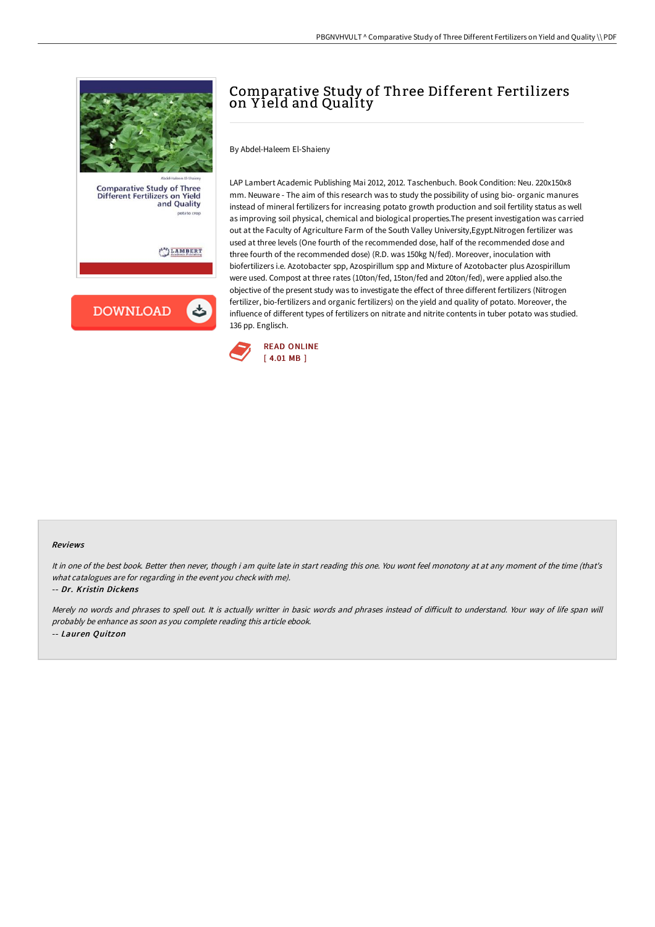

**DOWNLOAD** 

## Comparative Study of Three Different Fertilizers on Y ield and Quality

By Abdel-Haleem El-Shaieny

LAP Lambert Academic Publishing Mai 2012, 2012. Taschenbuch. Book Condition: Neu. 220x150x8 mm. Neuware - The aim of this research was to study the possibility of using bio- organic manures instead of mineral fertilizers for increasing potato growth production and soil fertility status as well as improving soil physical, chemical and biological properties.The present investigation was carried out at the Faculty of Agriculture Farm of the South Valley University,Egypt.Nitrogen fertilizer was used at three levels (One fourth of the recommended dose, half of the recommended dose and three fourth of the recommended dose) (R.D. was 150kg N/fed). Moreover, inoculation with biofertilizers i.e. Azotobacter spp, Azospirillum spp and Mixture of Azotobacter plus Azospirillum were used. Compost at three rates (10ton/fed, 15ton/fed and 20ton/fed), were applied also.the objective of the present study was to investigate the effect of three different fertilizers (Nitrogen fertilizer, bio-fertilizers and organic fertilizers) on the yield and quality of potato. Moreover, the influence of different types of fertilizers on nitrate and nitrite contents in tuber potato was studied. 136 pp. Englisch.



## Reviews

It in one of the best book. Better then never, though i am quite late in start reading this one. You wont feel monotony at at any moment of the time (that's what catalogues are for regarding in the event you check with me).

-- Dr. Kristin Dickens

Merely no words and phrases to spell out. It is actually writter in basic words and phrases instead of diFicult to understand. Your way of life span will probably be enhance as soon as you complete reading this article ebook. -- Lauren Quitzon